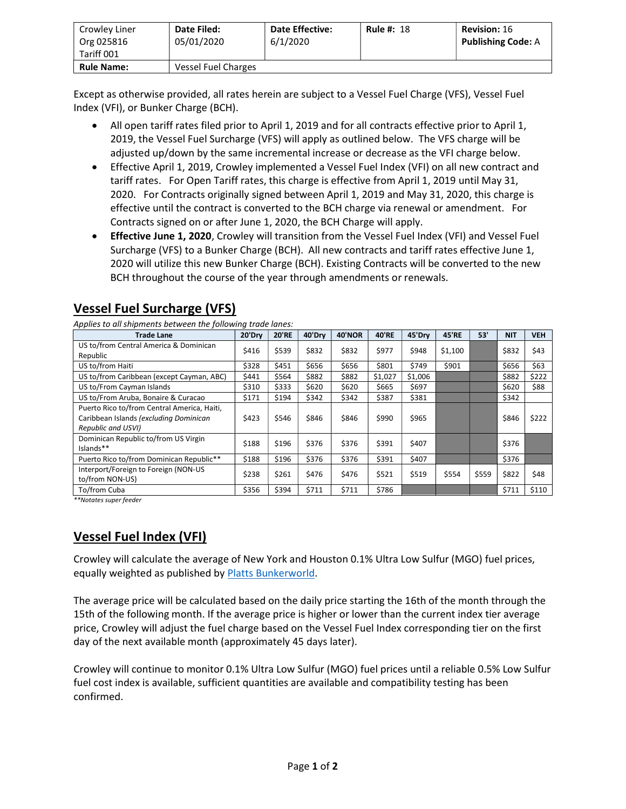| Crowley Liner<br>Org 025816<br>Tariff 001 | Date Filed:<br>05/01/2020 | <b>Date Effective:</b><br>6/1/2020 | <b>Rule #: 18</b> | <b>Revision: 16</b><br><b>Publishing Code: A</b> |
|-------------------------------------------|---------------------------|------------------------------------|-------------------|--------------------------------------------------|
| <b>Rule Name:</b>                         | Vessel Fuel Charges       |                                    |                   |                                                  |

Except as otherwise provided, all rates herein are subject to a Vessel Fuel Charge (VFS), Vessel Fuel Index (VFI), or Bunker Charge (BCH).

- All open tariff rates filed prior to April 1, 2019 and for all contracts effective prior to April 1, 2019, the Vessel Fuel Surcharge (VFS) will apply as outlined below. The VFS charge will be adjusted up/down by the same incremental increase or decrease as the VFI charge below.
- Effective April 1, 2019, Crowley implemented a Vessel Fuel Index (VFI) on all new contract and tariff rates. For Open Tariff rates, this charge is effective from April 1, 2019 until May 31, 2020. For Contracts originally signed between April 1, 2019 and May 31, 2020, this charge is effective until the contract is converted to the BCH charge via renewal or amendment. For Contracts signed on or after June 1, 2020, the BCH Charge will apply.
- Effective June 1, 2020, Crowley will transition from the Vessel Fuel Index (VFI) and Vessel Fuel Surcharge (VFS) to a Bunker Charge (BCH). All new contracts and tariff rates effective June 1, 2020 will utilize this new Bunker Charge (BCH). Existing Contracts will be converted to the new BCH throughout the course of the year through amendments or renewals.

## Vessel Fuel Surcharge (VFS)

Applies to all shipments between the following trade lanes:

| <b>Trade Lane</b>                           | 20'Drv | <b>20'RE</b> | 40'Drv | 40'NOR | <b>40'RE</b> | 45'Drv  | <b>45'RE</b> | 53'   | <b>NIT</b> | <b>VEH</b> |
|---------------------------------------------|--------|--------------|--------|--------|--------------|---------|--------------|-------|------------|------------|
| US to/from Central America & Dominican      |        | \$539        | \$832  | \$832  | \$977        | \$948   | \$1,100      |       | \$832      | \$43       |
| Republic                                    | \$416  |              |        |        |              |         |              |       |            |            |
| US to/from Haiti                            | \$328  | \$451        | \$656  | \$656  | \$801        | \$749   | \$901        |       | \$656      | \$63       |
| US to/from Caribbean (except Cayman, ABC)   | \$441  | \$564        | \$882  | \$882  | \$1,027      | \$1,006 |              |       | \$882      | \$222      |
| US to/From Cayman Islands                   | \$310  | \$333        | \$620  | \$620  | \$665        | \$697   |              |       | \$620      | \$88       |
| US to/From Aruba, Bonaire & Curacao         | \$171  | \$194        | \$342  | \$342  | \$387        | \$381   |              |       | \$342      |            |
| Puerto Rico to/from Central America, Haiti, |        |              |        |        |              |         |              |       |            |            |
| Caribbean Islands (excluding Dominican      | \$423  | \$546        | \$846  | \$846  | \$990        | \$965   |              |       | \$846      | \$222      |
| Republic and USVI)                          |        |              |        |        |              |         |              |       |            |            |
| Dominican Republic to/from US Virgin        | \$188  | \$196        | \$376  | \$376  | \$391        | \$407   |              |       | \$376      |            |
| Islands**                                   |        |              |        |        |              |         |              |       |            |            |
| Puerto Rico to/from Dominican Republic**    | \$188  | \$196        | \$376  | \$376  | \$391        | \$407   |              |       | \$376      |            |
| Interport/Foreign to Foreign (NON-US        |        |              | \$476  | \$476  |              |         |              |       |            |            |
| to/from NON-US)                             | \$238  | \$261        |        |        | \$521        | \$519   | \$554        | \$559 | \$822      | \$48       |
| To/from Cuba                                | \$356  | \$394        | \$711  | \$711  | \$786        |         |              |       | \$711      | \$110      |

\*\*Notates super feeder

## Vessel Fuel Index (VFI)

Crowley will calculate the average of New York and Houston 0.1% Ultra Low Sulfur (MGO) fuel prices, equally weighted as published by Platts Bunkerworld.

The average price will be calculated based on the daily price starting the 16th of the month through the 15th of the following month. If the average price is higher or lower than the current index tier average price, Crowley will adjust the fuel charge based on the Vessel Fuel Index corresponding tier on the first day of the next available month (approximately 45 days later).

Crowley will continue to monitor 0.1% Ultra Low Sulfur (MGO) fuel prices until a reliable 0.5% Low Sulfur fuel cost index is available, sufficient quantities are available and compatibility testing has been confirmed.